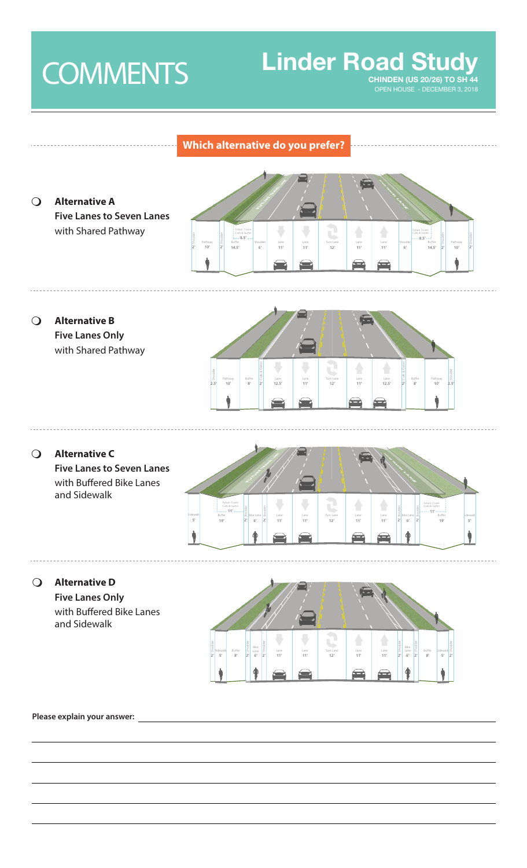## COMMENTS Linder Road Study

Linder Road, Chinden Blvd (US 20/26) to SH-44 OPEN HOUSE - DECEMBER 3, 2018CHINDEN (US 20/26) TO SH 44

## **Which alternative do you prefer? ALTERNATIVE ASSAULT SEPARATED SIDEWALKS**

Alternative A

**Alternative A Five Lanes to Seven Lanes**  with Shared Pathway  $\bigcirc$ 



**Alternative B Five Lanes Only**  with Shared Pathway  $\Omega$ 



**ALTERNATIVE D:** Five lane roadway with separated pathways

**Alternative C Five Lanes to Seven Lanes** with Buffered Bike Lanes and Sidewalk  $\Omega$ 



**Alternative D Five Lanes Only**  with Buffered Bike Lanes and Sidewalk



**ALTERNATIVE D:** Five lane roadway with separated pathways

**2'**Curb & Gutter

**2'**Curb & Gutter

**ALTERNATIVE C:** Five lane roadway with separated sidewalks

**Please explain your answer:**